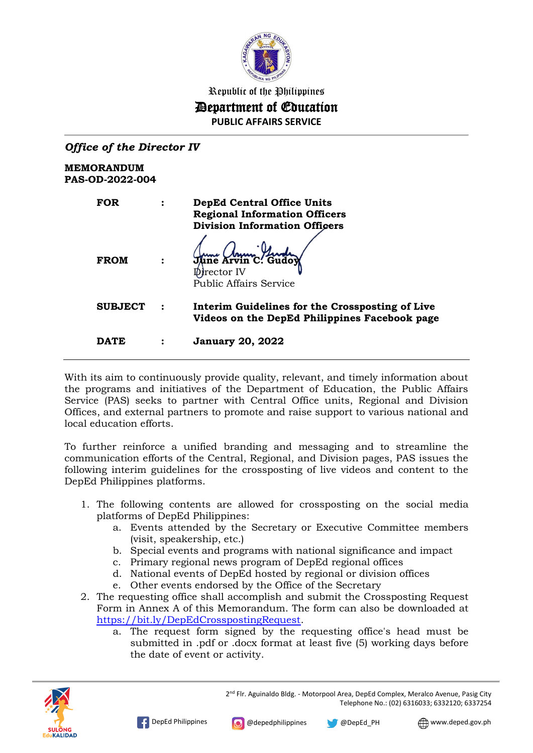

# Republic of the Philippines Department of Education

**PUBLIC AFFAIRS SERVICE**

| <b>Office of the Director IV</b>            |                |                                                                                                                   |
|---------------------------------------------|----------------|-------------------------------------------------------------------------------------------------------------------|
| <b>MEMORANDUM</b><br><b>PAS-OD-2022-004</b> |                |                                                                                                                   |
| <b>FOR</b>                                  | $\ddot{\cdot}$ | <b>DepEd Central Office Units</b><br><b>Regional Information Officers</b><br><b>Division Information Officers</b> |
| <b>FROM</b>                                 | $\ddot{\cdot}$ | June Arvin C. Gudoy<br>Director IV<br><b>Public Affairs Service</b>                                               |
| <b>SUBJECT</b>                              |                | Interim Guidelines for the Crossposting of Live<br>Videos on the DepEd Philippines Facebook page                  |
| DATE                                        | ፡              | <b>January 20, 2022</b>                                                                                           |

With its aim to continuously provide quality, relevant, and timely information about the programs and initiatives of the Department of Education, the Public Affairs Service (PAS) seeks to partner with Central Office units, Regional and Division Offices, and external partners to promote and raise support to various national and local education efforts.

To further reinforce a unified branding and messaging and to streamline the communication efforts of the Central, Regional, and Division pages, PAS issues the following interim guidelines for the crossposting of live videos and content to the DepEd Philippines platforms.

- 1. The following contents are allowed for crossposting on the social media platforms of DepEd Philippines:
	- a. Events attended by the Secretary or Executive Committee members (visit, speakership, etc.)
	- b. Special events and programs with national significance and impact
	- c. Primary regional news program of DepEd regional offices
	- d. National events of DepEd hosted by regional or division offices
	- e. Other events endorsed by the Office of the Secretary
- 2. The requesting office shall accomplish and submit the Crossposting Request Form in Annex A of this Memorandum. The form can also be downloaded at [https://bit.ly/DepEdCrosspostingRequest.](https://bit.ly/DepEdCrosspostingRequest)
	- a. The request form signed by the requesting office's head must be submitted in .pdf or .docx format at least five (5) working days before the date of event or activity.



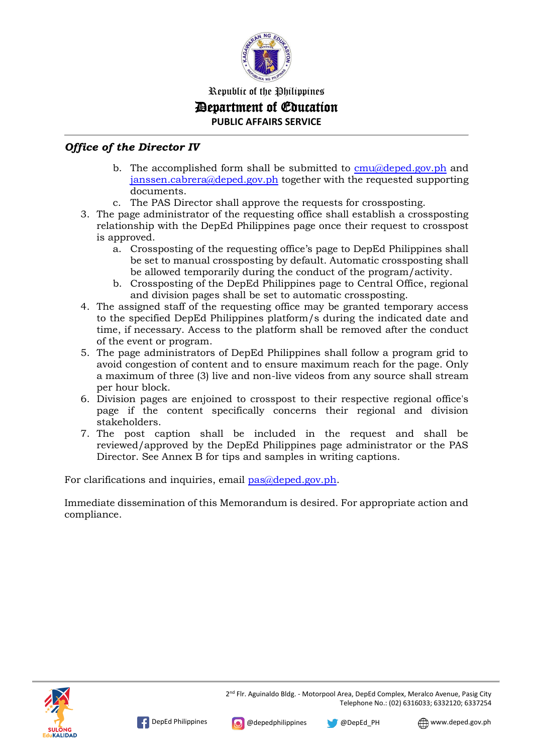

### Republic of the Philippines Department of Education **PUBLIC AFFAIRS SERVICE**

#### *Office of the Director IV*

- b. The accomplished form shall be submitted to  $cmu/a$  deped.gov.ph and [janssen.cabrera@deped.gov.ph](mailto:janssen.cabrera@deped.gov.ph) together with the requested supporting documents.
- c. The PAS Director shall approve the requests for crossposting.
- 3. The page administrator of the requesting office shall establish a crossposting relationship with the DepEd Philippines page once their request to crosspost is approved.
	- a. Crossposting of the requesting office's page to DepEd Philippines shall be set to manual crossposting by default. Automatic crossposting shall be allowed temporarily during the conduct of the program/activity.
	- b. Crossposting of the DepEd Philippines page to Central Office, regional and division pages shall be set to automatic crossposting.
- 4. The assigned staff of the requesting office may be granted temporary access to the specified DepEd Philippines platform/s during the indicated date and time, if necessary. Access to the platform shall be removed after the conduct of the event or program.
- 5. The page administrators of DepEd Philippines shall follow a program grid to avoid congestion of content and to ensure maximum reach for the page. Only a maximum of three (3) live and non-live videos from any source shall stream per hour block.
- 6. Division pages are enjoined to crosspost to their respective regional office's page if the content specifically concerns their regional and division stakeholders.
- 7. The post caption shall be included in the request and shall be reviewed/approved by the DepEd Philippines page administrator or the PAS Director. See Annex B for tips and samples in writing captions.

For clarifications and inquiries, email [pas@deped.gov.ph.](mailto:pas@deped.gov.ph)

Immediate dissemination of this Memorandum is desired. For appropriate action and compliance.

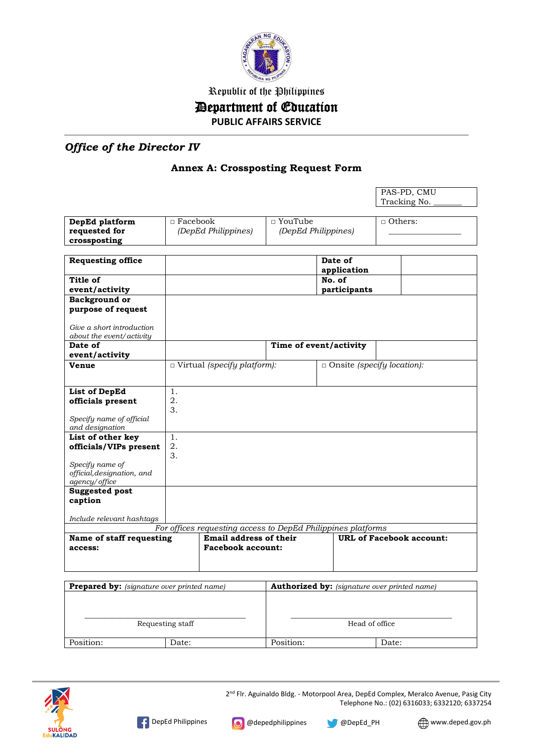

Republic of the Philippines

## Department of Education

**PUBLIC AFFAIRS SERVICE**

## *Office of the Director IV*

#### **Annex A: Crossposting Request Form**

|                                                                                                                                                       |                 |                                    |                                       |                                   | PAS-PD, CMU    |
|-------------------------------------------------------------------------------------------------------------------------------------------------------|-----------------|------------------------------------|---------------------------------------|-----------------------------------|----------------|
|                                                                                                                                                       |                 |                                    |                                       |                                   | Tracking No.   |
| DepEd platform<br>requested for<br>crossposting                                                                                                       | $\Box$ Facebook | (DepEd Philippines)                | $\Box$ YouTube<br>(DepEd Philippines) |                                   | $\Box$ Others: |
| <b>Requesting office</b>                                                                                                                              |                 |                                    |                                       | Date of<br>application            |                |
| Title of<br>event/activity                                                                                                                            |                 |                                    |                                       | No. of<br>participants            |                |
| Background or<br>purpose of request                                                                                                                   |                 |                                    |                                       |                                   |                |
| Give a short introduction<br>about the event/activity                                                                                                 |                 |                                    |                                       |                                   |                |
| Date of<br>event/activity                                                                                                                             |                 |                                    |                                       | Time of event/activity            |                |
| Venue                                                                                                                                                 |                 | $\Box$ Virtual (specify platform): |                                       | $\Box$ Onsite (specify location): |                |
| <b>List of DepEd</b>                                                                                                                                  | 1.              |                                    |                                       |                                   |                |
| officials present                                                                                                                                     | 2.<br>3.        |                                    |                                       |                                   |                |
| Specify name of official<br>and designation                                                                                                           |                 |                                    |                                       |                                   |                |
| List of other key<br>officials/VIPs present                                                                                                           | 1.<br>2.<br>3.  |                                    |                                       |                                   |                |
| Specify name of<br>official, designation, and<br>agency/office                                                                                        |                 |                                    |                                       |                                   |                |
| <b>Suggested post</b><br>caption                                                                                                                      |                 |                                    |                                       |                                   |                |
| Include relevant hashtags                                                                                                                             |                 |                                    |                                       |                                   |                |
| For offices requesting access to DepEd Philippines platforms<br>Email address of their<br><b>URL of Facebook account:</b><br>Name of staff requesting |                 |                                    |                                       |                                   |                |
| access:                                                                                                                                               |                 | <b>Facebook account:</b>           |                                       |                                   |                |
|                                                                                                                                                       |                 |                                    |                                       |                                   |                |
| Prepared by: (signature over printed name)<br><b>Authorized by:</b> (signature over printed name)                                                     |                 |                                    |                                       |                                   |                |

| <b>Prepared by:</b> (signature over printed name) | <b>Authorized by:</b> (signature over printed name) |       |  |
|---------------------------------------------------|-----------------------------------------------------|-------|--|
|                                                   |                                                     |       |  |
|                                                   |                                                     |       |  |
|                                                   |                                                     |       |  |
| Requesting staff                                  | Head of office                                      |       |  |
|                                                   |                                                     |       |  |
| Position:<br>Date:                                | Position:                                           | Date: |  |



2<sup>nd</sup> Flr. Aguinaldo Bldg. - Motorpool Area, DepEd Complex, Meralco Avenue, Pasig City Telephone No.: (02) 6316033; 6332120; 6337254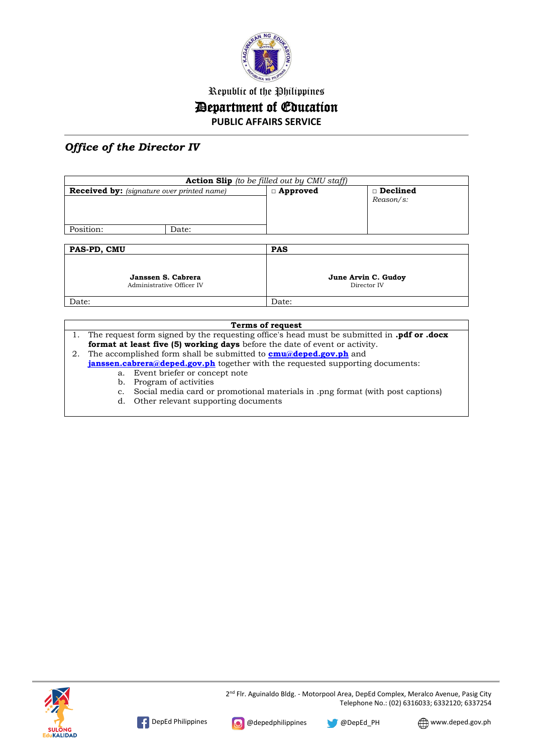

## Republic of the Philippines Department of Education **PUBLIC AFFAIRS SERVICE**

### *Office of the Director IV*

| <b>Action Slip</b> (to be filled out by CMU staff) |       |                                    |                              |  |
|----------------------------------------------------|-------|------------------------------------|------------------------------|--|
| <b>Received by:</b> (signature over printed name)  |       | □ Approved                         | $\Box$ Declined<br>Reason/s: |  |
| Position:                                          | Date: |                                    |                              |  |
| PAS-PD, CMU                                        |       | <b>PAS</b>                         |                              |  |
| Janssen S. Cabrera<br>Administrative Officer IV    |       | June Arvin C. Gudoy<br>Director IV |                              |  |
| Date:                                              |       | Date:                              |                              |  |

#### **Terms of request**

1. The request form signed by the requesting office's head must be submitted in **.pdf or .docx format at least five (5) working days** before the date of event or activity.

2. The accomplished form shall be submitted to **[cmu@deped.gov.ph](mailto:cmu@deped.gov.ph)** and **[janssen.cabrera@deped.gov.ph](mailto:janssen.cabrera@deped.gov.ph)** together with the requested supporting documents:

- a. Event briefer or concept note
- b. Program of activities
- c. Social media card or promotional materials in .png format (with post captions)
- d. Other relevant supporting documents